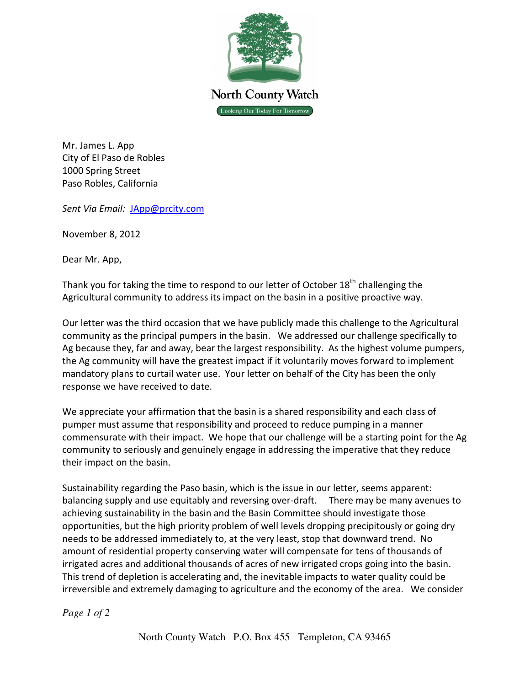

Mr. James L. App City of El Paso de Robles 1000 Spring Street Paso Robles, California

Sent Via Email: JApp@prcity.com

November 8, 2012

Dear Mr. App,

Thank you for taking the time to respond to our letter of October  $18<sup>th</sup>$  challenging the Agricultural community to address its impact on the basin in a positive proactive way.

Our letter was the third occasion that we have publicly made this challenge to the Agricultural community as the principal pumpers in the basin. We addressed our challenge specifically to Ag because they, far and away, bear the largest responsibility. As the highest volume pumpers, the Ag community will have the greatest impact if it voluntarily moves forward to implement mandatory plans to curtail water use. Your letter on behalf of the City has been the only response we have received to date.

We appreciate your affirmation that the basin is a shared responsibility and each class of pumper must assume that responsibility and proceed to reduce pumping in a manner commensurate with their impact. We hope that our challenge will be a starting point for the Ag community to seriously and genuinely engage in addressing the imperative that they reduce their impact on the basin.

Sustainability regarding the Paso basin, which is the issue in our letter, seems apparent: balancing supply and use equitably and reversing over-draft. There may be many avenues to achieving sustainability in the basin and the Basin Committee should investigate those opportunities, but the high priority problem of well levels dropping precipitously or going dry needs to be addressed immediately to, at the very least, stop that downward trend. No amount of residential property conserving water will compensate for tens of thousands of irrigated acres and additional thousands of acres of new irrigated crops going into the basin. This trend of depletion is accelerating and, the inevitable impacts to water quality could be irreversible and extremely damaging to agriculture and the economy of the area. We consider

*Page 1 of 2*